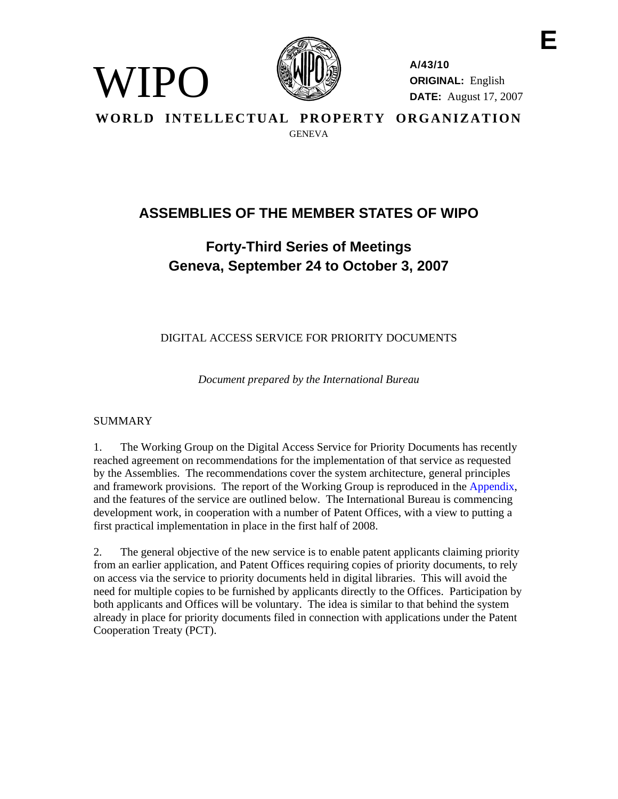

**A/43/10 ORIGINAL:** English **DATE:** August 17, 2007 **E** 

**WORLD INTELLECTUAL PROPERTY ORGANIZATION GENEVA** 

# **ASSEMBLIES OF THE MEMBER STATES OF WIPO**

# **Forty-Third Series of Meetings Geneva, September 24 to October 3, 2007**

DIGITAL ACCESS SERVICE FOR PRIORITY DOCUMENTS

*Document prepared by the International Bureau* 

# SUMMARY

WIPO

1. The Working Group on the Digital Access Service for Priority Documents has recently reached agreement on recommendations for the implementation of that service as requested by the Assemblies. The recommendations cover the system architecture, general principles and framework provisions. The report of the Working Group is reproduced in the Appendix, and the features of the service are outlined below. The International Bureau is commencing development work, in cooperation with a number of Patent Offices, with a view to putting a first practical implementation in place in the first half of 2008.

2. The general objective of the new service is to enable patent applicants claiming priority from an earlier application, and Patent Offices requiring copies of priority documents, to rely on access via the service to priority documents held in digital libraries. This will avoid the need for multiple copies to be furnished by applicants directly to the Offices. Participation by both applicants and Offices will be voluntary. The idea is similar to that behind the system already in place for priority documents filed in connection with applications under the Patent Cooperation Treaty (PCT).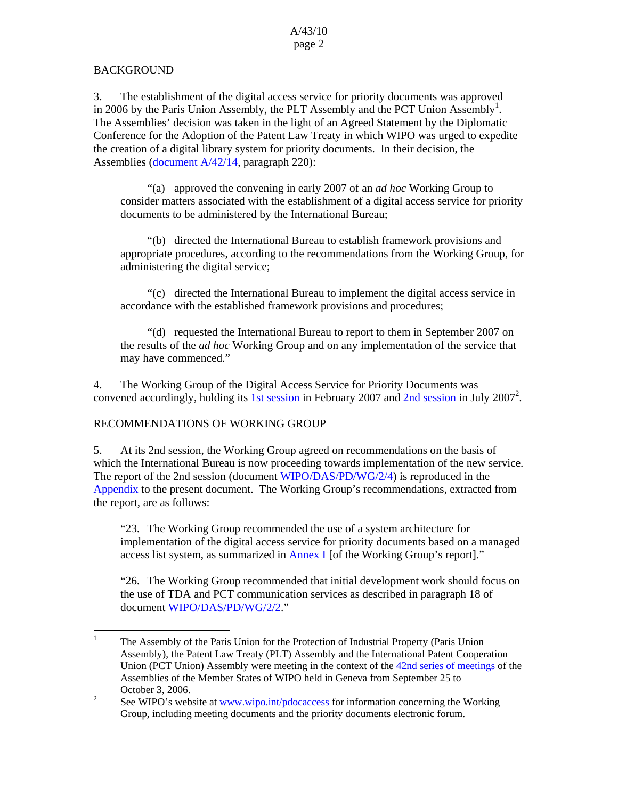# BACKGROUND

3. The establishment of the digital access service for priority documents was approved in 2006 by the Paris Union Assembly, the PLT Assembly and the PCT Union Assembly<sup>1</sup>. The Assemblies' decision was taken in the light of an Agreed Statement by the Diplomatic Conference for the Adoption of the Patent Law Treaty in which WIPO was urged to expedite the creation of a digital library system for priority documents. In their decision, the Assemblies (document A/42/14, paragraph 220):

 "(a) approved the convening in early 2007 of an *ad hoc* Working Group to consider matters associated with the establishment of a digital access service for priority documents to be administered by the International Bureau;

 "(b) directed the International Bureau to establish framework provisions and appropriate procedures, according to the recommendations from the Working Group, for administering the digital service;

 "(c) directed the International Bureau to implement the digital access service in accordance with the established framework provisions and procedures;

 "(d) requested the International Bureau to report to them in September 2007 on the results of the *ad hoc* Working Group and on any implementation of the service that may have commenced."

4. The Working Group of the Digital Access Service for Priority Documents was convened accordingly, holding its 1st session in February 2007 and  $2nd$  session in July 2007<sup>2</sup>.

# RECOMMENDATIONS OF WORKING GROUP

5. At its 2nd session, the Working Group agreed on recommendations on the basis of which the International Bureau is now proceeding towards implementation of the new service. The report of the 2nd session (document WIPO/DAS/PD/WG/2/4) is reproduced in the Appendix to the present document. The Working Group's recommendations, extracted from the report, are as follows:

"23. The Working Group recommended the use of a system architecture for implementation of the digital access service for priority documents based on a managed access list system, as summarized in Annex I [of the Working Group's report]."

"26. The Working Group recommended that initial development work should focus on the use of TDA and PCT communication services as described in paragraph 18 of document WIPO/DAS/PD/WG/2/2."

 $\frac{1}{1}$  The Assembly of the Paris Union for the Protection of Industrial Property (Paris Union Assembly), the Patent Law Treaty (PLT) Assembly and the International Patent Cooperation Union (PCT Union) Assembly were meeting in the context of the 42nd series of meetings of the Assemblies of the Member States of WIPO held in Geneva from September 25 to October 3, 2006.

See WIPO's website at www.wipo.int/pdocaccess for information concerning the Working Group, including meeting documents and the priority documents electronic forum.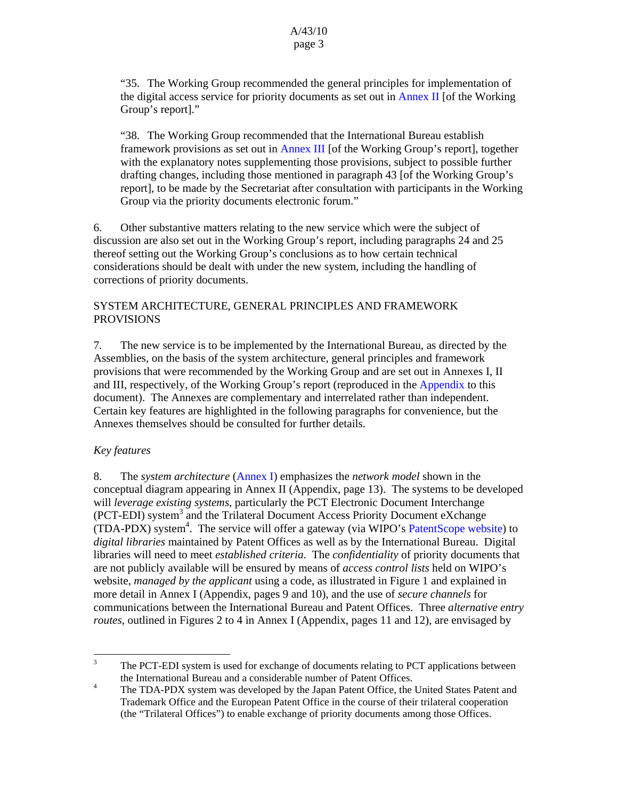"35. The Working Group recommended the general principles for implementation of the digital access service for priority documents as set out in Annex II [of the Working Group's report]."

"38. The Working Group recommended that the International Bureau establish framework provisions as set out in Annex III [of the Working Group's report], together with the explanatory notes supplementing those provisions, subject to possible further drafting changes, including those mentioned in paragraph 43 [of the Working Group's report], to be made by the Secretariat after consultation with participants in the Working Group via the priority documents electronic forum."

6. Other substantive matters relating to the new service which were the subject of discussion are also set out in the Working Group's report, including paragraphs 24 and 25 thereof setting out the Working Group's conclusions as to how certain technical considerations should be dealt with under the new system, including the handling of corrections of priority documents.

# SYSTEM ARCHITECTURE, GENERAL PRINCIPLES AND FRAMEWORK PROVISIONS

7. The new service is to be implemented by the International Bureau, as directed by the Assemblies, on the basis of the system architecture, general principles and framework provisions that were recommended by the Working Group and are set out in Annexes I, II and III, respectively, of the Working Group's report (reproduced in the Appendix to this document). The Annexes are complementary and interrelated rather than independent. Certain key features are highlighted in the following paragraphs for convenience, but the Annexes themselves should be consulted for further details.

# *Key features*

8. The *system architecture* (Annex I) emphasizes the *network model* shown in the conceptual diagram appearing in Annex II (Appendix, page 13). The systems to be developed will *leverage existing systems*, particularly the PCT Electronic Document Interchange (PCT-EDI) system<sup>3</sup> and the Trilateral Document Access Priority Document eXchange  $(TDA-PDX)$  system<sup>4</sup>. The service will offer a gateway (via WIPO's PatentScope website) to *digital libraries* maintained by Patent Offices as well as by the International Bureau. Digital libraries will need to meet *established criteria*. The *confidentiality* of priority documents that are not publicly available will be ensured by means of *access control lists* held on WIPO's website, *managed by the applicant* using a code, as illustrated in Figure 1 and explained in more detail in Annex I (Appendix, pages 9 and 10), and the use of *secure channels* for communications between the International Bureau and Patent Offices. Three *alternative entry routes*, outlined in Figures 2 to 4 in Annex I (Appendix, pages 11 and 12), are envisaged by

<sup>&</sup>lt;sup>2</sup><br>3 The PCT-EDI system is used for exchange of documents relating to PCT applications between the International Bureau and a considerable number of Patent Offices.<br>
<sup>4</sup> The TDA PDV system was developed by the Japan Patent Office, the

The TDA-PDX system was developed by the Japan Patent Office, the United States Patent and Trademark Office and the European Patent Office in the course of their trilateral cooperation (the "Trilateral Offices") to enable exchange of priority documents among those Offices.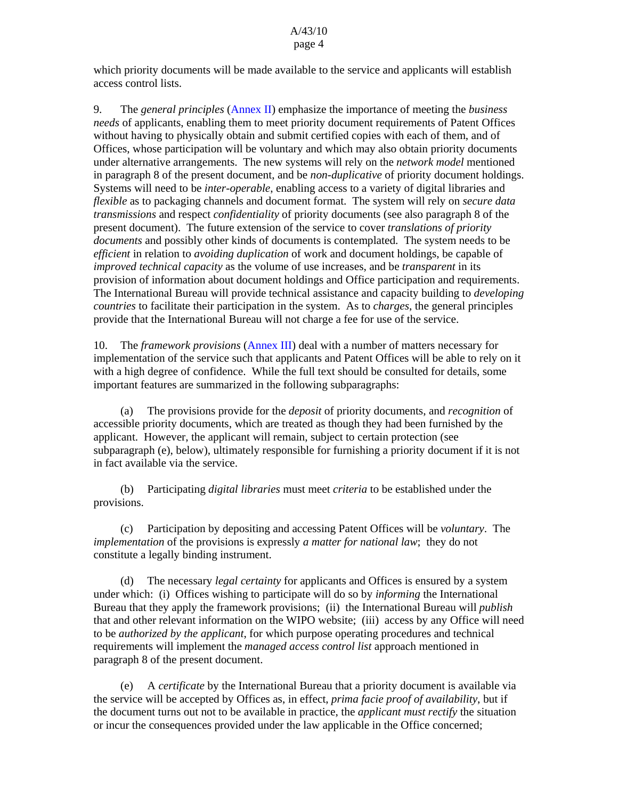which priority documents will be made available to the service and applicants will establish access control lists.

9. The *general principles* (Annex II) emphasize the importance of meeting the *business needs* of applicants, enabling them to meet priority document requirements of Patent Offices without having to physically obtain and submit certified copies with each of them, and of Offices, whose participation will be voluntary and which may also obtain priority documents under alternative arrangements. The new systems will rely on the *network model* mentioned in paragraph 8 of the present document, and be *non-duplicative* of priority document holdings. Systems will need to be *inter-operable*, enabling access to a variety of digital libraries and *flexible* as to packaging channels and document format. The system will rely on *secure data transmissions* and respect *confidentiality* of priority documents (see also paragraph 8 of the present document). The future extension of the service to cover *translations of priority documents* and possibly other kinds of documents is contemplated. The system needs to be *efficient* in relation to *avoiding duplication* of work and document holdings, be capable of *improved technical capacity* as the volume of use increases, and be *transparent* in its provision of information about document holdings and Office participation and requirements. The International Bureau will provide technical assistance and capacity building to *developing countries* to facilitate their participation in the system. As to *charges*, the general principles provide that the International Bureau will not charge a fee for use of the service.

10. The *framework provisions* (Annex III) deal with a number of matters necessary for implementation of the service such that applicants and Patent Offices will be able to rely on it with a high degree of confidence. While the full text should be consulted for details, some important features are summarized in the following subparagraphs:

 (a) The provisions provide for the *deposit* of priority documents, and *recognition* of accessible priority documents, which are treated as though they had been furnished by the applicant. However, the applicant will remain, subject to certain protection (see subparagraph (e), below), ultimately responsible for furnishing a priority document if it is not in fact available via the service.

 (b) Participating *digital libraries* must meet *criteria* to be established under the provisions.

 (c) Participation by depositing and accessing Patent Offices will be *voluntary*. The *implementation* of the provisions is expressly *a matter for national law*; they do not constitute a legally binding instrument.

 (d) The necessary *legal certainty* for applicants and Offices is ensured by a system under which: (i) Offices wishing to participate will do so by *informing* the International Bureau that they apply the framework provisions; (ii) the International Bureau will *publish* that and other relevant information on the WIPO website; (iii) access by any Office will need to be *authorized by the applicant*, for which purpose operating procedures and technical requirements will implement the *managed access control list* approach mentioned in paragraph 8 of the present document.

 (e) A *certificate* by the International Bureau that a priority document is available via the service will be accepted by Offices as, in effect, *prima facie proof of availability*, but if the document turns out not to be available in practice, the *applicant must rectify* the situation or incur the consequences provided under the law applicable in the Office concerned;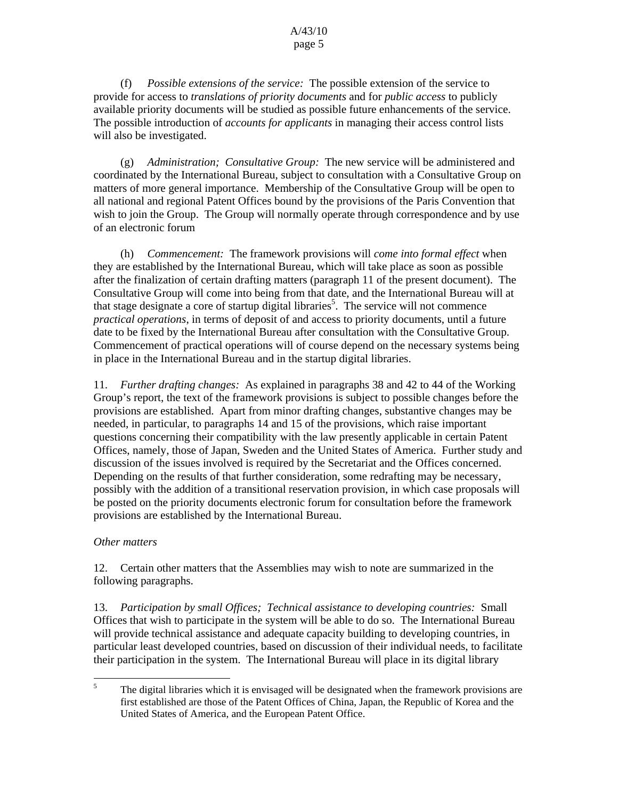(f) *Possible extensions of the service:* The possible extension of the service to provide for access to *translations of priority documents* and for *public access* to publicly available priority documents will be studied as possible future enhancements of the service. The possible introduction of *accounts for applicants* in managing their access control lists will also be investigated.

 (g) *Administration; Consultative Group:* The new service will be administered and coordinated by the International Bureau, subject to consultation with a Consultative Group on matters of more general importance. Membership of the Consultative Group will be open to all national and regional Patent Offices bound by the provisions of the Paris Convention that wish to join the Group. The Group will normally operate through correspondence and by use of an electronic forum

 (h) *Commencement:* The framework provisions will *come into formal effect* when they are established by the International Bureau, which will take place as soon as possible after the finalization of certain drafting matters (paragraph 11 of the present document). The Consultative Group will come into being from that date, and the International Bureau will at that stage designate a core of startup digital libraries<sup>5</sup>. The service will not commence *practical operations*, in terms of deposit of and access to priority documents, until a future date to be fixed by the International Bureau after consultation with the Consultative Group. Commencement of practical operations will of course depend on the necessary systems being in place in the International Bureau and in the startup digital libraries.

11. *Further drafting changes:* As explained in paragraphs 38 and 42 to 44 of the Working Group's report, the text of the framework provisions is subject to possible changes before the provisions are established. Apart from minor drafting changes, substantive changes may be needed, in particular, to paragraphs 14 and 15 of the provisions, which raise important questions concerning their compatibility with the law presently applicable in certain Patent Offices, namely, those of Japan, Sweden and the United States of America. Further study and discussion of the issues involved is required by the Secretariat and the Offices concerned. Depending on the results of that further consideration, some redrafting may be necessary, possibly with the addition of a transitional reservation provision, in which case proposals will be posted on the priority documents electronic forum for consultation before the framework provisions are established by the International Bureau.

### *Other matters*

12. Certain other matters that the Assemblies may wish to note are summarized in the following paragraphs.

13. *Participation by small Offices; Technical assistance to developing countries:* Small Offices that wish to participate in the system will be able to do so. The International Bureau will provide technical assistance and adequate capacity building to developing countries, in particular least developed countries, based on discussion of their individual needs, to facilitate their participation in the system. The International Bureau will place in its digital library

 5 The digital libraries which it is envisaged will be designated when the framework provisions are first established are those of the Patent Offices of China, Japan, the Republic of Korea and the United States of America, and the European Patent Office.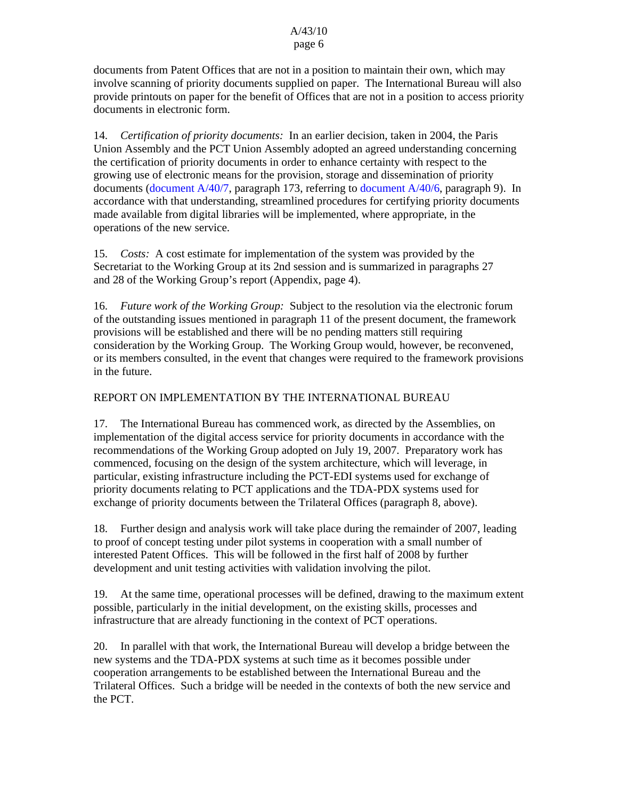#### A/43/10 page 6

documents from Patent Offices that are not in a position to maintain their own, which may involve scanning of priority documents supplied on paper. The International Bureau will also provide printouts on paper for the benefit of Offices that are not in a position to access priority documents in electronic form.

14. *Certification of priority documents:* In an earlier decision, taken in 2004, the Paris Union Assembly and the PCT Union Assembly adopted an agreed understanding concerning the certification of priority documents in order to enhance certainty with respect to the growing use of electronic means for the provision, storage and dissemination of priority documents (document A/40/7, paragraph 173, referring to document A/40/6, paragraph 9). In accordance with that understanding, streamlined procedures for certifying priority documents made available from digital libraries will be implemented, where appropriate, in the operations of the new service.

15. *Costs:* A cost estimate for implementation of the system was provided by the Secretariat to the Working Group at its 2nd session and is summarized in paragraphs 27 and 28 of the Working Group's report (Appendix, page 4).

16. *Future work of the Working Group:* Subject to the resolution via the electronic forum of the outstanding issues mentioned in paragraph 11 of the present document, the framework provisions will be established and there will be no pending matters still requiring consideration by the Working Group. The Working Group would, however, be reconvened, or its members consulted, in the event that changes were required to the framework provisions in the future.

## REPORT ON IMPLEMENTATION BY THE INTERNATIONAL BUREAU

17. The International Bureau has commenced work, as directed by the Assemblies, on implementation of the digital access service for priority documents in accordance with the recommendations of the Working Group adopted on July 19, 2007. Preparatory work has commenced, focusing on the design of the system architecture, which will leverage, in particular, existing infrastructure including the PCT-EDI systems used for exchange of priority documents relating to PCT applications and the TDA-PDX systems used for exchange of priority documents between the Trilateral Offices (paragraph 8, above).

18. Further design and analysis work will take place during the remainder of 2007, leading to proof of concept testing under pilot systems in cooperation with a small number of interested Patent Offices. This will be followed in the first half of 2008 by further development and unit testing activities with validation involving the pilot.

19. At the same time, operational processes will be defined, drawing to the maximum extent possible, particularly in the initial development, on the existing skills, processes and infrastructure that are already functioning in the context of PCT operations.

20. In parallel with that work, the International Bureau will develop a bridge between the new systems and the TDA-PDX systems at such time as it becomes possible under cooperation arrangements to be established between the International Bureau and the Trilateral Offices. Such a bridge will be needed in the contexts of both the new service and the PCT.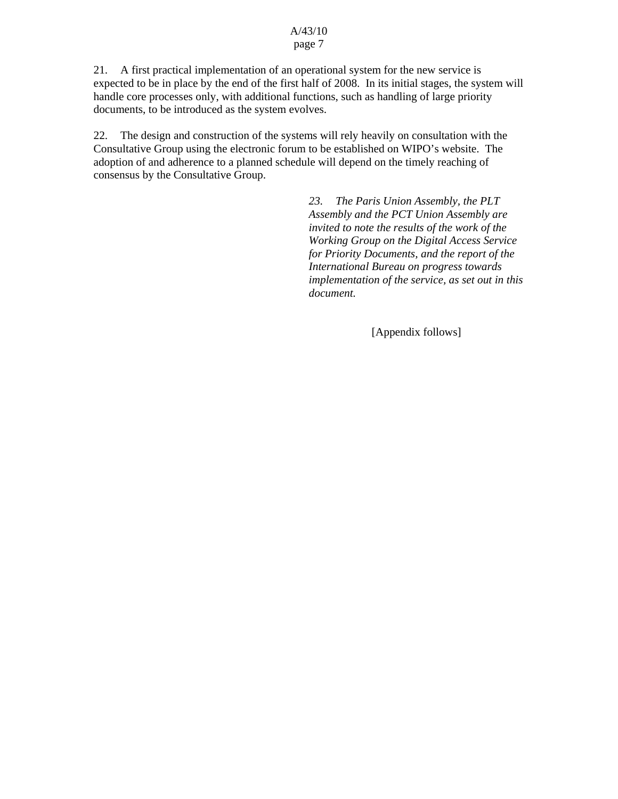#### A/43/10 page 7

21. A first practical implementation of an operational system for the new service is expected to be in place by the end of the first half of 2008. In its initial stages, the system will handle core processes only, with additional functions, such as handling of large priority documents, to be introduced as the system evolves.

22. The design and construction of the systems will rely heavily on consultation with the Consultative Group using the electronic forum to be established on WIPO's website. The adoption of and adherence to a planned schedule will depend on the timely reaching of consensus by the Consultative Group.

> *23. The Paris Union Assembly, the PLT Assembly and the PCT Union Assembly are invited to note the results of the work of the Working Group on the Digital Access Service for Priority Documents, and the report of the International Bureau on progress towards implementation of the service, as set out in this document.*

> > [Appendix follows]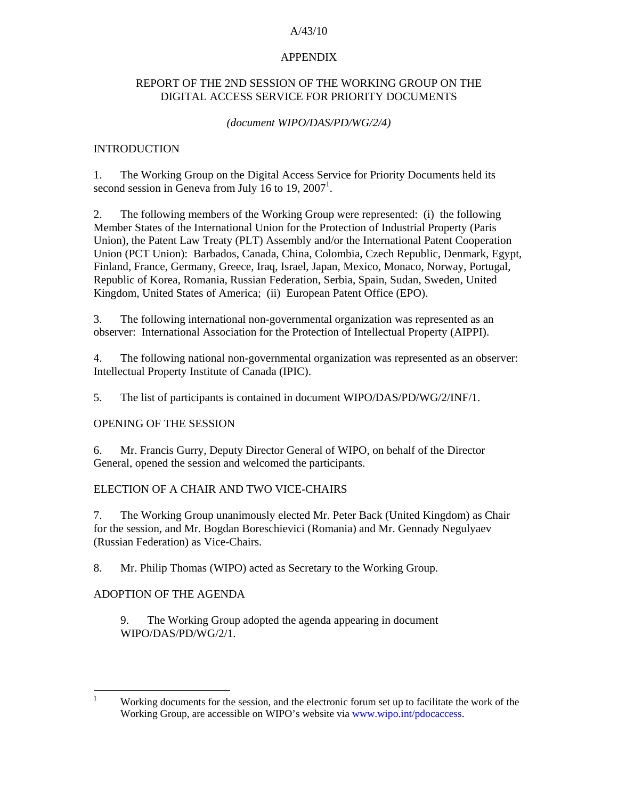### A/43/10

#### APPENDIX

### REPORT OF THE 2ND SESSION OF THE WORKING GROUP ON THE DIGITAL ACCESS SERVICE FOR PRIORITY DOCUMENTS

#### *(document WIPO/DAS/PD/WG/2/4)*

#### INTRODUCTION

1. The Working Group on the Digital Access Service for Priority Documents held its second session in Geneva from July 16 to 19,  $2007<sup>1</sup>$ .

2. The following members of the Working Group were represented: (i) the following Member States of the International Union for the Protection of Industrial Property (Paris Union), the Patent Law Treaty (PLT) Assembly and/or the International Patent Cooperation Union (PCT Union): Barbados, Canada, China, Colombia, Czech Republic, Denmark, Egypt, Finland, France, Germany, Greece, Iraq, Israel, Japan, Mexico, Monaco, Norway, Portugal, Republic of Korea, Romania, Russian Federation, Serbia, Spain, Sudan, Sweden, United Kingdom, United States of America; (ii) European Patent Office (EPO).

3. The following international non-governmental organization was represented as an observer: International Association for the Protection of Intellectual Property (AIPPI).

4. The following national non-governmental organization was represented as an observer: Intellectual Property Institute of Canada (IPIC).

5. The list of participants is contained in document WIPO/DAS/PD/WG/2/INF/1.

### OPENING OF THE SESSION

6. Mr. Francis Gurry, Deputy Director General of WIPO, on behalf of the Director General, opened the session and welcomed the participants.

#### ELECTION OF A CHAIR AND TWO VICE-CHAIRS

7. The Working Group unanimously elected Mr. Peter Back (United Kingdom) as Chair for the session, and Mr. Bogdan Boreschievici (Romania) and Mr. Gennady Negulyaev (Russian Federation) as Vice-Chairs.

8. Mr. Philip Thomas (WIPO) acted as Secretary to the Working Group.

### ADOPTION OF THE AGENDA

9. The Working Group adopted the agenda appearing in document WIPO/DAS/PD/WG/2/1.

 $\frac{1}{1}$  Working documents for the session, and the electronic forum set up to facilitate the work of the Working Group, are accessible on WIPO's website via www.wipo.int/pdocaccess.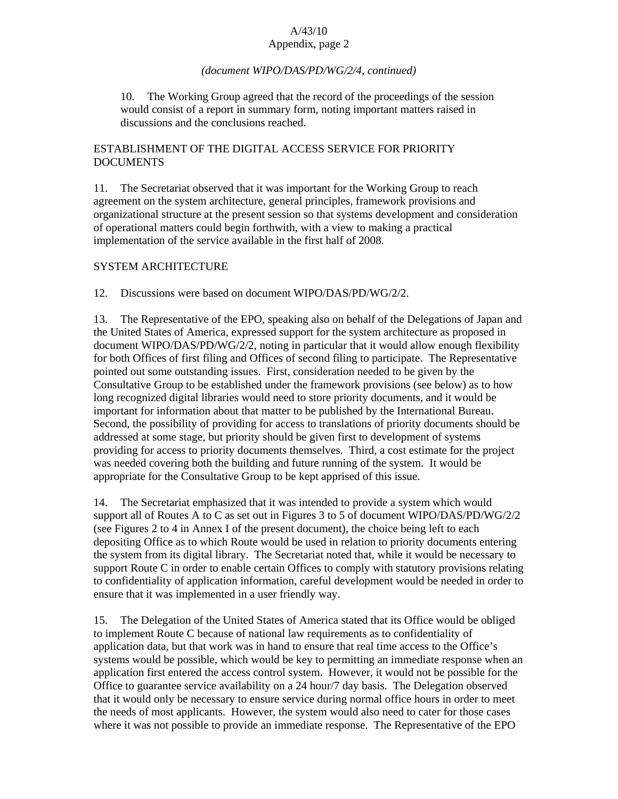# *(document WIPO/DAS/PD/WG/2/4, continued)*

10. The Working Group agreed that the record of the proceedings of the session would consist of a report in summary form, noting important matters raised in discussions and the conclusions reached.

# ESTABLISHMENT OF THE DIGITAL ACCESS SERVICE FOR PRIORITY DOCUMENTS

11. The Secretariat observed that it was important for the Working Group to reach agreement on the system architecture, general principles, framework provisions and organizational structure at the present session so that systems development and consideration of operational matters could begin forthwith, with a view to making a practical implementation of the service available in the first half of 2008.

# SYSTEM ARCHITECTURE

12. Discussions were based on document WIPO/DAS/PD/WG/2/2.

13. The Representative of the EPO, speaking also on behalf of the Delegations of Japan and the United States of America, expressed support for the system architecture as proposed in document WIPO/DAS/PD/WG/2/2, noting in particular that it would allow enough flexibility for both Offices of first filing and Offices of second filing to participate. The Representative pointed out some outstanding issues. First, consideration needed to be given by the Consultative Group to be established under the framework provisions (see below) as to how long recognized digital libraries would need to store priority documents, and it would be important for information about that matter to be published by the International Bureau. Second, the possibility of providing for access to translations of priority documents should be addressed at some stage, but priority should be given first to development of systems providing for access to priority documents themselves. Third, a cost estimate for the project was needed covering both the building and future running of the system. It would be appropriate for the Consultative Group to be kept apprised of this issue.

14. The Secretariat emphasized that it was intended to provide a system which would support all of Routes A to C as set out in Figures 3 to 5 of document WIPO/DAS/PD/WG/2/2 (see Figures 2 to 4 in Annex I of the present document), the choice being left to each depositing Office as to which Route would be used in relation to priority documents entering the system from its digital library. The Secretariat noted that, while it would be necessary to support Route C in order to enable certain Offices to comply with statutory provisions relating to confidentiality of application information, careful development would be needed in order to ensure that it was implemented in a user friendly way.

15. The Delegation of the United States of America stated that its Office would be obliged to implement Route C because of national law requirements as to confidentiality of application data, but that work was in hand to ensure that real time access to the Office's systems would be possible, which would be key to permitting an immediate response when an application first entered the access control system. However, it would not be possible for the Office to guarantee service availability on a 24 hour/7 day basis. The Delegation observed that it would only be necessary to ensure service during normal office hours in order to meet the needs of most applicants. However, the system would also need to cater for those cases where it was not possible to provide an immediate response. The Representative of the EPO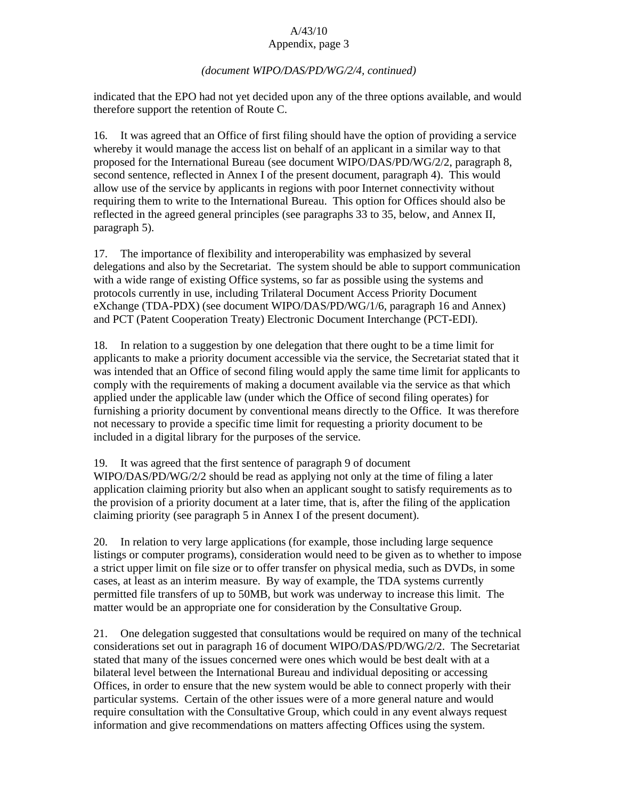# *(document WIPO/DAS/PD/WG/2/4, continued)*

indicated that the EPO had not yet decided upon any of the three options available, and would therefore support the retention of Route C.

16. It was agreed that an Office of first filing should have the option of providing a service whereby it would manage the access list on behalf of an applicant in a similar way to that proposed for the International Bureau (see document WIPO/DAS/PD/WG/2/2, paragraph 8, second sentence, reflected in Annex I of the present document, paragraph 4). This would allow use of the service by applicants in regions with poor Internet connectivity without requiring them to write to the International Bureau. This option for Offices should also be reflected in the agreed general principles (see paragraphs 33 to 35, below, and Annex II, paragraph 5).

17. The importance of flexibility and interoperability was emphasized by several delegations and also by the Secretariat. The system should be able to support communication with a wide range of existing Office systems, so far as possible using the systems and protocols currently in use, including Trilateral Document Access Priority Document eXchange (TDA-PDX) (see document WIPO/DAS/PD/WG/1/6, paragraph 16 and Annex) and PCT (Patent Cooperation Treaty) Electronic Document Interchange (PCT-EDI).

18. In relation to a suggestion by one delegation that there ought to be a time limit for applicants to make a priority document accessible via the service, the Secretariat stated that it was intended that an Office of second filing would apply the same time limit for applicants to comply with the requirements of making a document available via the service as that which applied under the applicable law (under which the Office of second filing operates) for furnishing a priority document by conventional means directly to the Office. It was therefore not necessary to provide a specific time limit for requesting a priority document to be included in a digital library for the purposes of the service.

19. It was agreed that the first sentence of paragraph 9 of document

WIPO/DAS/PD/WG/2/2 should be read as applying not only at the time of filing a later application claiming priority but also when an applicant sought to satisfy requirements as to the provision of a priority document at a later time, that is, after the filing of the application claiming priority (see paragraph 5 in Annex I of the present document).

20. In relation to very large applications (for example, those including large sequence listings or computer programs), consideration would need to be given as to whether to impose a strict upper limit on file size or to offer transfer on physical media, such as DVDs, in some cases, at least as an interim measure. By way of example, the TDA systems currently permitted file transfers of up to 50MB, but work was underway to increase this limit. The matter would be an appropriate one for consideration by the Consultative Group.

21. One delegation suggested that consultations would be required on many of the technical considerations set out in paragraph 16 of document WIPO/DAS/PD/WG/2/2. The Secretariat stated that many of the issues concerned were ones which would be best dealt with at a bilateral level between the International Bureau and individual depositing or accessing Offices, in order to ensure that the new system would be able to connect properly with their particular systems. Certain of the other issues were of a more general nature and would require consultation with the Consultative Group, which could in any event always request information and give recommendations on matters affecting Offices using the system.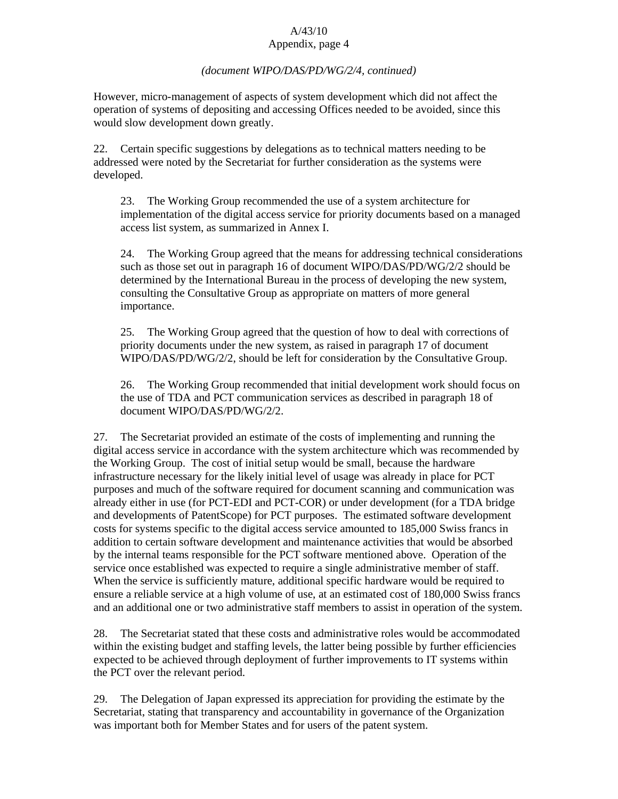## *(document WIPO/DAS/PD/WG/2/4, continued)*

However, micro-management of aspects of system development which did not affect the operation of systems of depositing and accessing Offices needed to be avoided, since this would slow development down greatly.

22. Certain specific suggestions by delegations as to technical matters needing to be addressed were noted by the Secretariat for further consideration as the systems were developed.

23. The Working Group recommended the use of a system architecture for implementation of the digital access service for priority documents based on a managed access list system, as summarized in Annex I.

24. The Working Group agreed that the means for addressing technical considerations such as those set out in paragraph 16 of document WIPO/DAS/PD/WG/2/2 should be determined by the International Bureau in the process of developing the new system, consulting the Consultative Group as appropriate on matters of more general importance.

25. The Working Group agreed that the question of how to deal with corrections of priority documents under the new system, as raised in paragraph 17 of document WIPO/DAS/PD/WG/2/2, should be left for consideration by the Consultative Group.

26. The Working Group recommended that initial development work should focus on the use of TDA and PCT communication services as described in paragraph 18 of document WIPO/DAS/PD/WG/2/2.

27. The Secretariat provided an estimate of the costs of implementing and running the digital access service in accordance with the system architecture which was recommended by the Working Group. The cost of initial setup would be small, because the hardware infrastructure necessary for the likely initial level of usage was already in place for PCT purposes and much of the software required for document scanning and communication was already either in use (for PCT-EDI and PCT-COR) or under development (for a TDA bridge and developments of PatentScope) for PCT purposes. The estimated software development costs for systems specific to the digital access service amounted to 185,000 Swiss francs in addition to certain software development and maintenance activities that would be absorbed by the internal teams responsible for the PCT software mentioned above. Operation of the service once established was expected to require a single administrative member of staff. When the service is sufficiently mature, additional specific hardware would be required to ensure a reliable service at a high volume of use, at an estimated cost of 180,000 Swiss francs and an additional one or two administrative staff members to assist in operation of the system.

28. The Secretariat stated that these costs and administrative roles would be accommodated within the existing budget and staffing levels, the latter being possible by further efficiencies expected to be achieved through deployment of further improvements to IT systems within the PCT over the relevant period.

29. The Delegation of Japan expressed its appreciation for providing the estimate by the Secretariat, stating that transparency and accountability in governance of the Organization was important both for Member States and for users of the patent system.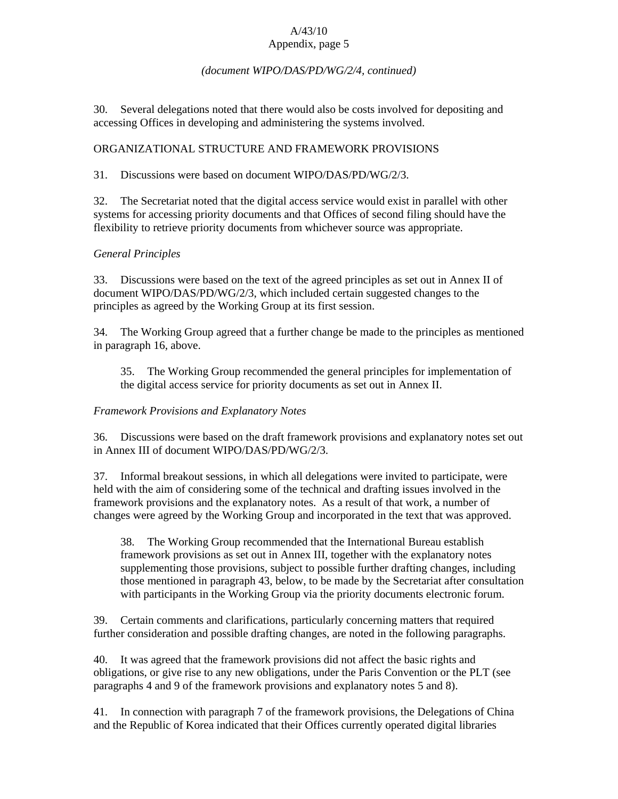## *(document WIPO/DAS/PD/WG/2/4, continued)*

30. Several delegations noted that there would also be costs involved for depositing and accessing Offices in developing and administering the systems involved.

# ORGANIZATIONAL STRUCTURE AND FRAMEWORK PROVISIONS

31. Discussions were based on document WIPO/DAS/PD/WG/2/3.

32. The Secretariat noted that the digital access service would exist in parallel with other systems for accessing priority documents and that Offices of second filing should have the flexibility to retrieve priority documents from whichever source was appropriate.

# *General Principles*

33. Discussions were based on the text of the agreed principles as set out in Annex II of document WIPO/DAS/PD/WG/2/3, which included certain suggested changes to the principles as agreed by the Working Group at its first session.

34. The Working Group agreed that a further change be made to the principles as mentioned in paragraph 16, above.

35. The Working Group recommended the general principles for implementation of the digital access service for priority documents as set out in Annex II.

# *Framework Provisions and Explanatory Notes*

36. Discussions were based on the draft framework provisions and explanatory notes set out in Annex III of document WIPO/DAS/PD/WG/2/3.

37. Informal breakout sessions, in which all delegations were invited to participate, were held with the aim of considering some of the technical and drafting issues involved in the framework provisions and the explanatory notes. As a result of that work, a number of changes were agreed by the Working Group and incorporated in the text that was approved.

38. The Working Group recommended that the International Bureau establish framework provisions as set out in Annex III, together with the explanatory notes supplementing those provisions, subject to possible further drafting changes, including those mentioned in paragraph 43, below, to be made by the Secretariat after consultation with participants in the Working Group via the priority documents electronic forum.

39. Certain comments and clarifications, particularly concerning matters that required further consideration and possible drafting changes, are noted in the following paragraphs.

40. It was agreed that the framework provisions did not affect the basic rights and obligations, or give rise to any new obligations, under the Paris Convention or the PLT (see paragraphs 4 and 9 of the framework provisions and explanatory notes 5 and 8).

41. In connection with paragraph 7 of the framework provisions, the Delegations of China and the Republic of Korea indicated that their Offices currently operated digital libraries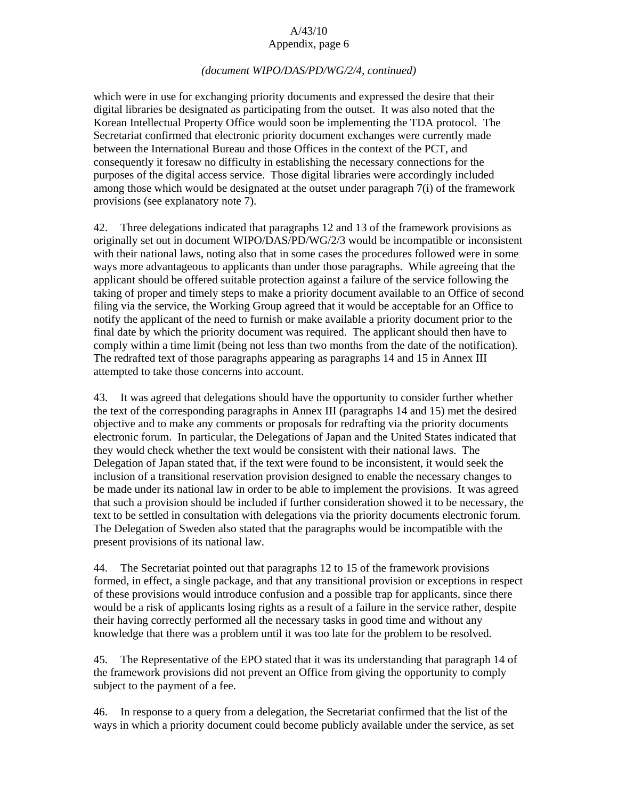### *(document WIPO/DAS/PD/WG/2/4, continued)*

which were in use for exchanging priority documents and expressed the desire that their digital libraries be designated as participating from the outset. It was also noted that the Korean Intellectual Property Office would soon be implementing the TDA protocol. The Secretariat confirmed that electronic priority document exchanges were currently made between the International Bureau and those Offices in the context of the PCT, and consequently it foresaw no difficulty in establishing the necessary connections for the purposes of the digital access service. Those digital libraries were accordingly included among those which would be designated at the outset under paragraph 7(i) of the framework provisions (see explanatory note 7).

42. Three delegations indicated that paragraphs 12 and 13 of the framework provisions as originally set out in document WIPO/DAS/PD/WG/2/3 would be incompatible or inconsistent with their national laws, noting also that in some cases the procedures followed were in some ways more advantageous to applicants than under those paragraphs. While agreeing that the applicant should be offered suitable protection against a failure of the service following the taking of proper and timely steps to make a priority document available to an Office of second filing via the service, the Working Group agreed that it would be acceptable for an Office to notify the applicant of the need to furnish or make available a priority document prior to the final date by which the priority document was required. The applicant should then have to comply within a time limit (being not less than two months from the date of the notification). The redrafted text of those paragraphs appearing as paragraphs 14 and 15 in Annex III attempted to take those concerns into account.

43. It was agreed that delegations should have the opportunity to consider further whether the text of the corresponding paragraphs in Annex III (paragraphs 14 and 15) met the desired objective and to make any comments or proposals for redrafting via the priority documents electronic forum. In particular, the Delegations of Japan and the United States indicated that they would check whether the text would be consistent with their national laws. The Delegation of Japan stated that, if the text were found to be inconsistent, it would seek the inclusion of a transitional reservation provision designed to enable the necessary changes to be made under its national law in order to be able to implement the provisions. It was agreed that such a provision should be included if further consideration showed it to be necessary, the text to be settled in consultation with delegations via the priority documents electronic forum. The Delegation of Sweden also stated that the paragraphs would be incompatible with the present provisions of its national law.

44. The Secretariat pointed out that paragraphs 12 to 15 of the framework provisions formed, in effect, a single package, and that any transitional provision or exceptions in respect of these provisions would introduce confusion and a possible trap for applicants, since there would be a risk of applicants losing rights as a result of a failure in the service rather, despite their having correctly performed all the necessary tasks in good time and without any knowledge that there was a problem until it was too late for the problem to be resolved.

45. The Representative of the EPO stated that it was its understanding that paragraph 14 of the framework provisions did not prevent an Office from giving the opportunity to comply subject to the payment of a fee.

46. In response to a query from a delegation, the Secretariat confirmed that the list of the ways in which a priority document could become publicly available under the service, as set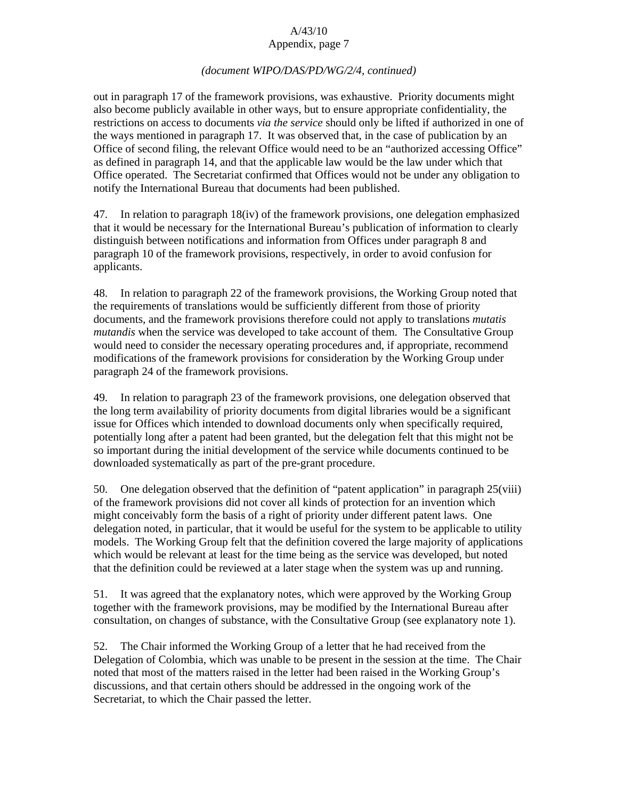## *(document WIPO/DAS/PD/WG/2/4, continued)*

out in paragraph 17 of the framework provisions, was exhaustive. Priority documents might also become publicly available in other ways, but to ensure appropriate confidentiality, the restrictions on access to documents *via the service* should only be lifted if authorized in one of the ways mentioned in paragraph 17. It was observed that, in the case of publication by an Office of second filing, the relevant Office would need to be an "authorized accessing Office" as defined in paragraph 14, and that the applicable law would be the law under which that Office operated. The Secretariat confirmed that Offices would not be under any obligation to notify the International Bureau that documents had been published.

47. In relation to paragraph 18(iv) of the framework provisions, one delegation emphasized that it would be necessary for the International Bureau's publication of information to clearly distinguish between notifications and information from Offices under paragraph 8 and paragraph 10 of the framework provisions, respectively, in order to avoid confusion for applicants.

48. In relation to paragraph 22 of the framework provisions, the Working Group noted that the requirements of translations would be sufficiently different from those of priority documents, and the framework provisions therefore could not apply to translations *mutatis mutandis* when the service was developed to take account of them. The Consultative Group would need to consider the necessary operating procedures and, if appropriate, recommend modifications of the framework provisions for consideration by the Working Group under paragraph 24 of the framework provisions.

49. In relation to paragraph 23 of the framework provisions, one delegation observed that the long term availability of priority documents from digital libraries would be a significant issue for Offices which intended to download documents only when specifically required, potentially long after a patent had been granted, but the delegation felt that this might not be so important during the initial development of the service while documents continued to be downloaded systematically as part of the pre-grant procedure.

50. One delegation observed that the definition of "patent application" in paragraph 25(viii) of the framework provisions did not cover all kinds of protection for an invention which might conceivably form the basis of a right of priority under different patent laws. One delegation noted, in particular, that it would be useful for the system to be applicable to utility models. The Working Group felt that the definition covered the large majority of applications which would be relevant at least for the time being as the service was developed, but noted that the definition could be reviewed at a later stage when the system was up and running.

51. It was agreed that the explanatory notes, which were approved by the Working Group together with the framework provisions, may be modified by the International Bureau after consultation, on changes of substance, with the Consultative Group (see explanatory note 1).

52. The Chair informed the Working Group of a letter that he had received from the Delegation of Colombia, which was unable to be present in the session at the time. The Chair noted that most of the matters raised in the letter had been raised in the Working Group's discussions, and that certain others should be addressed in the ongoing work of the Secretariat, to which the Chair passed the letter.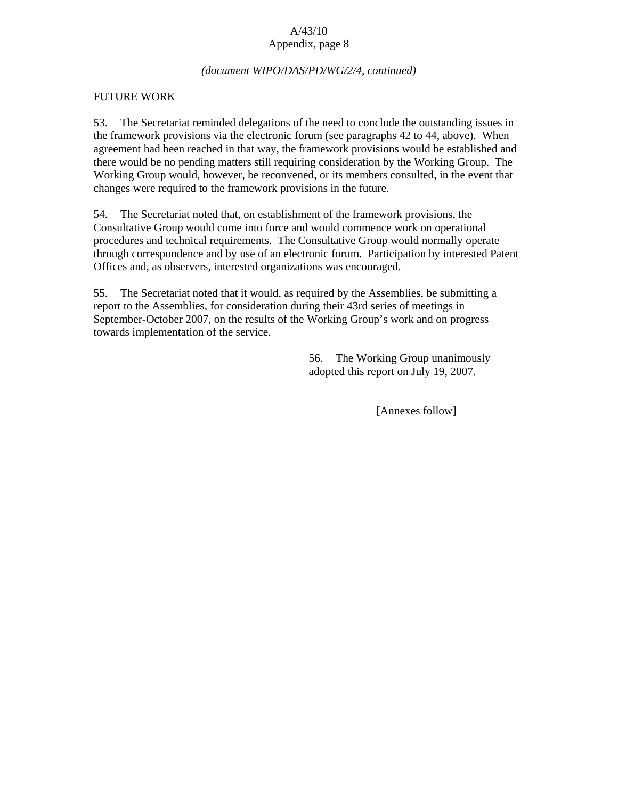### *(document WIPO/DAS/PD/WG/2/4, continued)*

### FUTURE WORK

53. The Secretariat reminded delegations of the need to conclude the outstanding issues in the framework provisions via the electronic forum (see paragraphs 42 to 44, above). When agreement had been reached in that way, the framework provisions would be established and there would be no pending matters still requiring consideration by the Working Group. The Working Group would, however, be reconvened, or its members consulted, in the event that changes were required to the framework provisions in the future.

54. The Secretariat noted that, on establishment of the framework provisions, the Consultative Group would come into force and would commence work on operational procedures and technical requirements. The Consultative Group would normally operate through correspondence and by use of an electronic forum. Participation by interested Patent Offices and, as observers, interested organizations was encouraged.

55. The Secretariat noted that it would, as required by the Assemblies, be submitting a report to the Assemblies, for consideration during their 43rd series of meetings in September-October 2007, on the results of the Working Group's work and on progress towards implementation of the service.

> 56. The Working Group unanimously adopted this report on July 19, 2007.

> > [Annexes follow]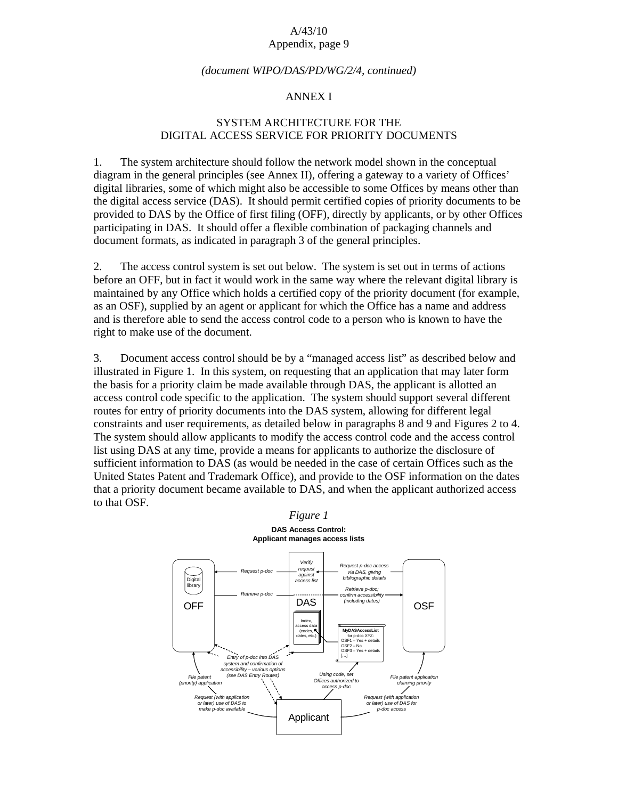#### *(document WIPO/DAS/PD/WG/2/4, continued)*

#### ANNEX I

## SYSTEM ARCHITECTURE FOR THE DIGITAL ACCESS SERVICE FOR PRIORITY DOCUMENTS

1. The system architecture should follow the network model shown in the conceptual diagram in the general principles (see Annex II), offering a gateway to a variety of Offices' digital libraries, some of which might also be accessible to some Offices by means other than the digital access service (DAS). It should permit certified copies of priority documents to be provided to DAS by the Office of first filing (OFF), directly by applicants, or by other Offices participating in DAS. It should offer a flexible combination of packaging channels and document formats, as indicated in paragraph 3 of the general principles.

2. The access control system is set out below. The system is set out in terms of actions before an OFF, but in fact it would work in the same way where the relevant digital library is maintained by any Office which holds a certified copy of the priority document (for example, as an OSF), supplied by an agent or applicant for which the Office has a name and address and is therefore able to send the access control code to a person who is known to have the right to make use of the document.

3. Document access control should be by a "managed access list" as described below and illustrated in Figure 1. In this system, on requesting that an application that may later form the basis for a priority claim be made available through DAS, the applicant is allotted an access control code specific to the application. The system should support several different routes for entry of priority documents into the DAS system, allowing for different legal constraints and user requirements, as detailed below in paragraphs 8 and 9 and Figures 2 to 4. The system should allow applicants to modify the access control code and the access control list using DAS at any time, provide a means for applicants to authorize the disclosure of sufficient information to DAS (as would be needed in the case of certain Offices such as the United States Patent and Trademark Office), and provide to the OSF information on the dates that a priority document became available to DAS, and when the applicant authorized access to that OSF.

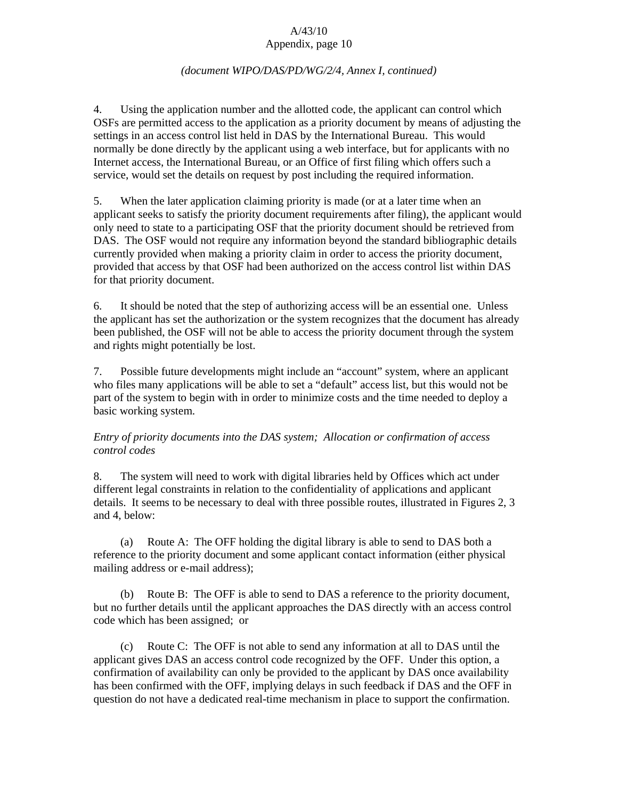### *(document WIPO/DAS/PD/WG/2/4, Annex I, continued)*

4. Using the application number and the allotted code, the applicant can control which OSFs are permitted access to the application as a priority document by means of adjusting the settings in an access control list held in DAS by the International Bureau. This would normally be done directly by the applicant using a web interface, but for applicants with no Internet access, the International Bureau, or an Office of first filing which offers such a service, would set the details on request by post including the required information.

5. When the later application claiming priority is made (or at a later time when an applicant seeks to satisfy the priority document requirements after filing), the applicant would only need to state to a participating OSF that the priority document should be retrieved from DAS. The OSF would not require any information beyond the standard bibliographic details currently provided when making a priority claim in order to access the priority document, provided that access by that OSF had been authorized on the access control list within DAS for that priority document.

6. It should be noted that the step of authorizing access will be an essential one. Unless the applicant has set the authorization or the system recognizes that the document has already been published, the OSF will not be able to access the priority document through the system and rights might potentially be lost.

7. Possible future developments might include an "account" system, where an applicant who files many applications will be able to set a "default" access list, but this would not be part of the system to begin with in order to minimize costs and the time needed to deploy a basic working system.

# *Entry of priority documents into the DAS system; Allocation or confirmation of access control codes*

8. The system will need to work with digital libraries held by Offices which act under different legal constraints in relation to the confidentiality of applications and applicant details. It seems to be necessary to deal with three possible routes, illustrated in Figures 2, 3 and 4, below:

 (a) Route A: The OFF holding the digital library is able to send to DAS both a reference to the priority document and some applicant contact information (either physical mailing address or e-mail address);

 (b) Route B: The OFF is able to send to DAS a reference to the priority document, but no further details until the applicant approaches the DAS directly with an access control code which has been assigned; or

 (c) Route C: The OFF is not able to send any information at all to DAS until the applicant gives DAS an access control code recognized by the OFF. Under this option, a confirmation of availability can only be provided to the applicant by DAS once availability has been confirmed with the OFF, implying delays in such feedback if DAS and the OFF in question do not have a dedicated real-time mechanism in place to support the confirmation.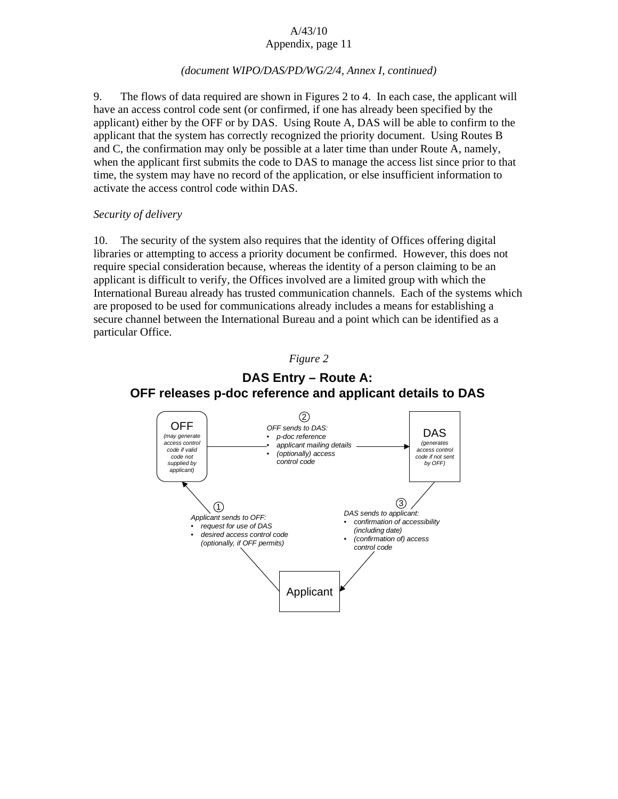# *(document WIPO/DAS/PD/WG/2/4, Annex I, continued)*

9. The flows of data required are shown in Figures 2 to 4. In each case, the applicant will have an access control code sent (or confirmed, if one has already been specified by the applicant) either by the OFF or by DAS. Using Route A, DAS will be able to confirm to the applicant that the system has correctly recognized the priority document. Using Routes B and C, the confirmation may only be possible at a later time than under Route A, namely, when the applicant first submits the code to DAS to manage the access list since prior to that time, the system may have no record of the application, or else insufficient information to activate the access control code within DAS.

# *Security of delivery*

10. The security of the system also requires that the identity of Offices offering digital libraries or attempting to access a priority document be confirmed. However, this does not require special consideration because, whereas the identity of a person claiming to be an applicant is difficult to verify, the Offices involved are a limited group with which the International Bureau already has trusted communication channels. Each of the systems which are proposed to be used for communications already includes a means for establishing a secure channel between the International Bureau and a point which can be identified as a particular Office.





# **DAS Entry – Route A: OFF releases p-doc reference and applicant details to DAS**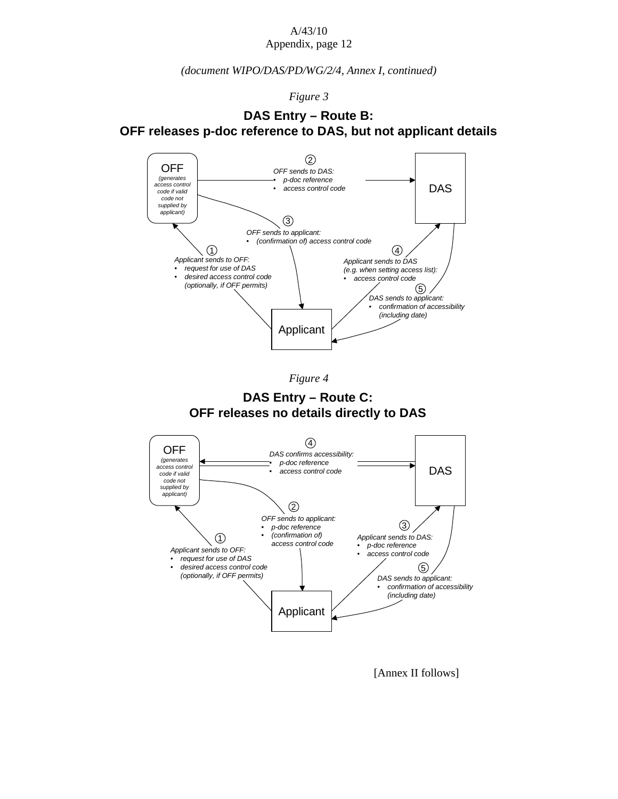*(document WIPO/DAS/PD/WG/2/4, Annex I, continued)* 

*Figure 3* 

# **DAS Entry – Route B: OFF releases p-doc reference to DAS, but not applicant details**



*Figure 4* 

**DAS Entry – Route C: OFF releases no details directly to DAS**



[Annex II follows]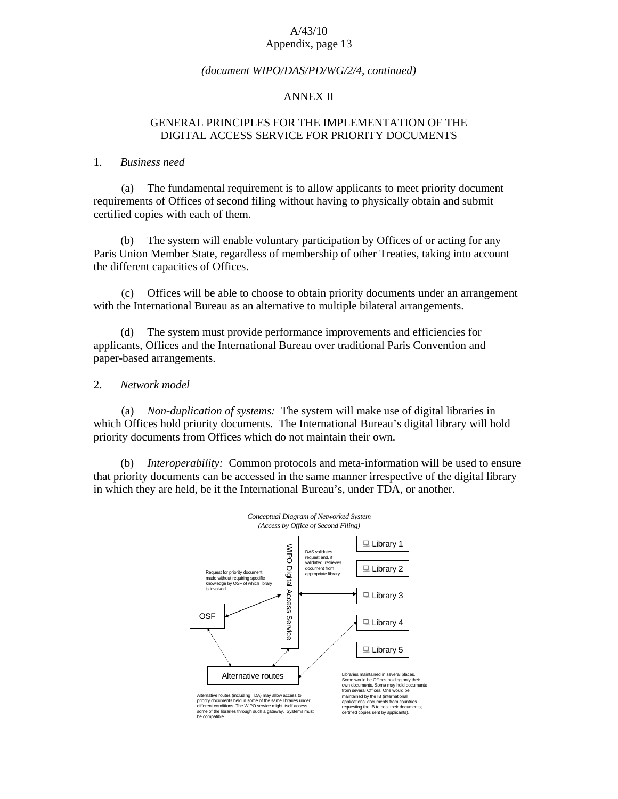#### *(document WIPO/DAS/PD/WG/2/4, continued)*

#### ANNEX II

### GENERAL PRINCIPLES FOR THE IMPLEMENTATION OF THE DIGITAL ACCESS SERVICE FOR PRIORITY DOCUMENTS

#### 1. *Business need*

 (a) The fundamental requirement is to allow applicants to meet priority document requirements of Offices of second filing without having to physically obtain and submit certified copies with each of them.

 (b) The system will enable voluntary participation by Offices of or acting for any Paris Union Member State, regardless of membership of other Treaties, taking into account the different capacities of Offices.

 (c) Offices will be able to choose to obtain priority documents under an arrangement with the International Bureau as an alternative to multiple bilateral arrangements.

 (d) The system must provide performance improvements and efficiencies for applicants, Offices and the International Bureau over traditional Paris Convention and paper-based arrangements.

#### 2. *Network model*

 (a) *Non-duplication of systems:* The system will make use of digital libraries in which Offices hold priority documents. The International Bureau's digital library will hold priority documents from Offices which do not maintain their own.

 (b) *Interoperability:* Common protocols and meta-information will be used to ensure that priority documents can be accessed in the same manner irrespective of the digital library in which they are held, be it the International Bureau's, under TDA, or another.

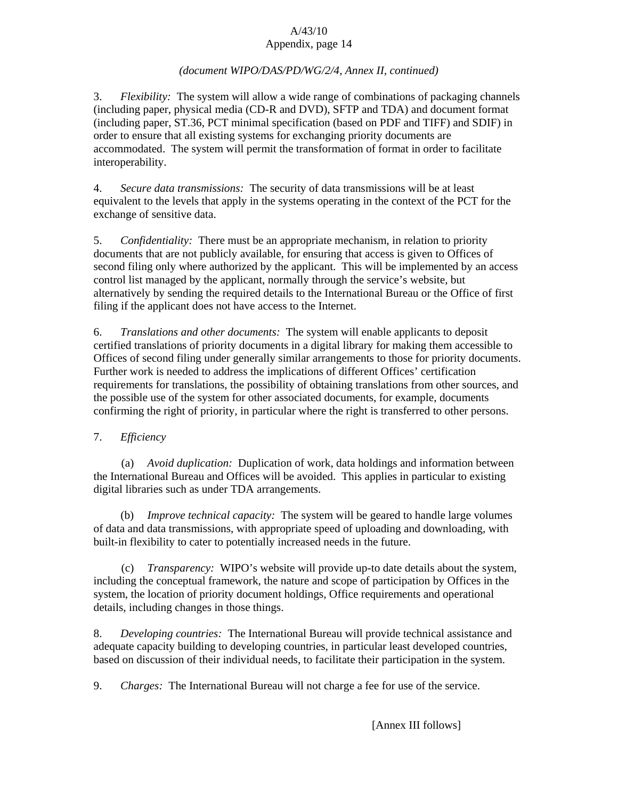# *(document WIPO/DAS/PD/WG/2/4, Annex II, continued)*

3. *Flexibility:* The system will allow a wide range of combinations of packaging channels (including paper, physical media (CD-R and DVD), SFTP and TDA) and document format (including paper, ST.36, PCT minimal specification (based on PDF and TIFF) and SDIF) in order to ensure that all existing systems for exchanging priority documents are accommodated. The system will permit the transformation of format in order to facilitate interoperability.

4. *Secure data transmissions:* The security of data transmissions will be at least equivalent to the levels that apply in the systems operating in the context of the PCT for the exchange of sensitive data.

5. *Confidentiality:* There must be an appropriate mechanism, in relation to priority documents that are not publicly available, for ensuring that access is given to Offices of second filing only where authorized by the applicant. This will be implemented by an access control list managed by the applicant, normally through the service's website, but alternatively by sending the required details to the International Bureau or the Office of first filing if the applicant does not have access to the Internet.

6. *Translations and other documents:* The system will enable applicants to deposit certified translations of priority documents in a digital library for making them accessible to Offices of second filing under generally similar arrangements to those for priority documents. Further work is needed to address the implications of different Offices' certification requirements for translations, the possibility of obtaining translations from other sources, and the possible use of the system for other associated documents, for example, documents confirming the right of priority, in particular where the right is transferred to other persons.

# 7. *Efficiency*

 (a) *Avoid duplication:* Duplication of work, data holdings and information between the International Bureau and Offices will be avoided. This applies in particular to existing digital libraries such as under TDA arrangements.

 (b) *Improve technical capacity:* The system will be geared to handle large volumes of data and data transmissions, with appropriate speed of uploading and downloading, with built-in flexibility to cater to potentially increased needs in the future.

 (c) *Transparency:* WIPO's website will provide up-to date details about the system, including the conceptual framework, the nature and scope of participation by Offices in the system, the location of priority document holdings, Office requirements and operational details, including changes in those things.

8. *Developing countries:* The International Bureau will provide technical assistance and adequate capacity building to developing countries, in particular least developed countries, based on discussion of their individual needs, to facilitate their participation in the system.

9. *Charges:* The International Bureau will not charge a fee for use of the service.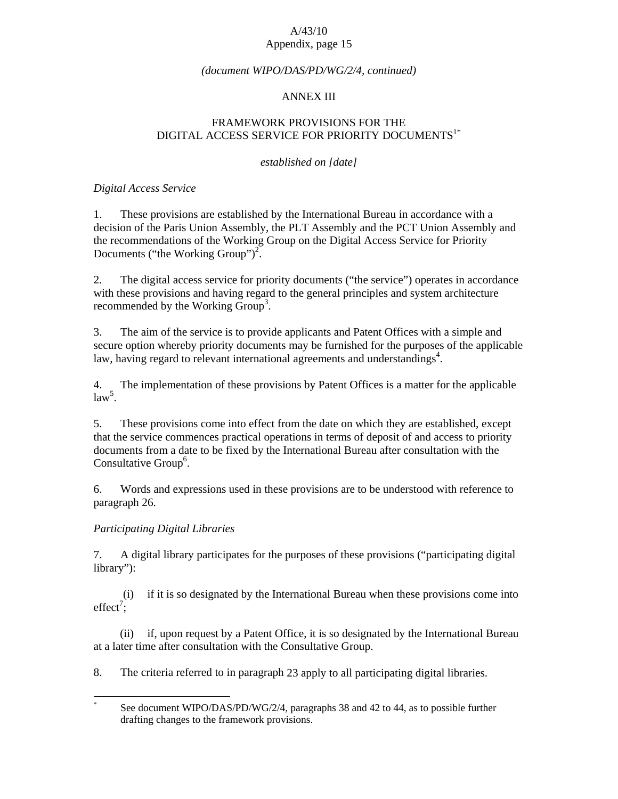#### *(document WIPO/DAS/PD/WG/2/4, continued)*

## ANNEX III

# FRAMEWORK PROVISIONS FOR THE DIGITAL ACCESS SERVICE FOR PRIORITY DOCUMENTS<sup>1\*</sup>

#### *established on [date]*

### *Digital Access Service*

1. These provisions are established by the International Bureau in accordance with a decision of the Paris Union Assembly, the PLT Assembly and the PCT Union Assembly and the recommendations of the Working Group on the Digital Access Service for Priority Documents ("the Working Group")<sup>2</sup>.

2. The digital access service for priority documents ("the service") operates in accordance with these provisions and having regard to the general principles and system architecture recommended by the Working  $Group^3$ .

3. The aim of the service is to provide applicants and Patent Offices with a simple and secure option whereby priority documents may be furnished for the purposes of the applicable law, having regard to relevant international agreements and understandings<sup>4</sup>.

4. The implementation of these provisions by Patent Offices is a matter for the applicable  $law<sup>5</sup>$ .

5. These provisions come into effect from the date on which they are established, except that the service commences practical operations in terms of deposit of and access to priority documents from a date to be fixed by the International Bureau after consultation with the Consultative Group<sup>6</sup>.

6. Words and expressions used in these provisions are to be understood with reference to paragraph 26.

### *Participating Digital Libraries*

 $\overline{a}$ 

7. A digital library participates for the purposes of these provisions ("participating digital library"):

 (i) if it is so designated by the International Bureau when these provisions come into  $effect^7;$ 

 (ii) if, upon request by a Patent Office, it is so designated by the International Bureau at a later time after consultation with the Consultative Group.

8. The criteria referred to in paragraph 23 apply to all participating digital libraries.

<sup>\*</sup> See document WIPO/DAS/PD/WG/2/4, paragraphs 38 and 42 to 44, as to possible further drafting changes to the framework provisions.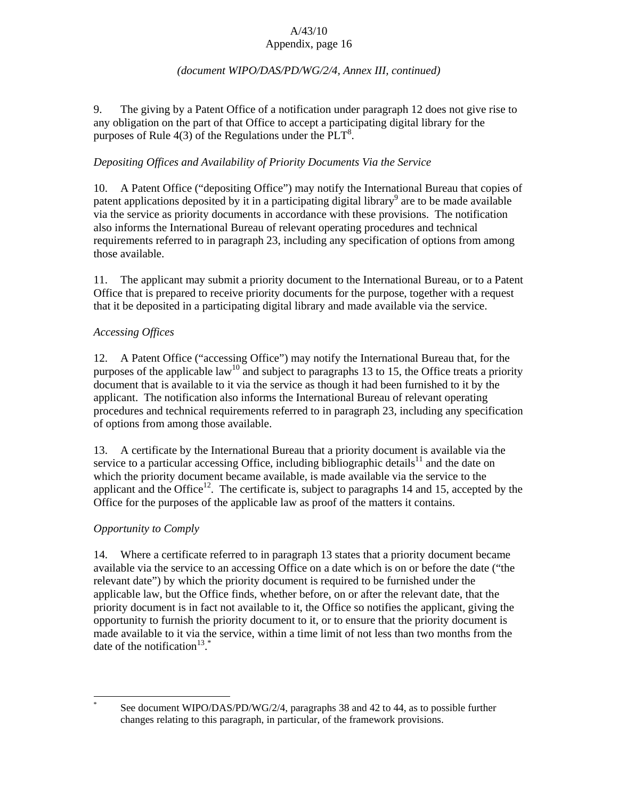## *(document WIPO/DAS/PD/WG/2/4, Annex III, continued)*

9. The giving by a Patent Office of a notification under paragraph 12 does not give rise to any obligation on the part of that Office to accept a participating digital library for the purposes of Rule  $4(3)$  of the Regulations under the PLT<sup>8</sup>.

# *Depositing Offices and Availability of Priority Documents Via the Service*

10. A Patent Office ("depositing Office") may notify the International Bureau that copies of patent applications deposited by it in a participating digital library<sup>9</sup> are to be made available via the service as priority documents in accordance with these provisions. The notification also informs the International Bureau of relevant operating procedures and technical requirements referred to in paragraph 23, including any specification of options from among those available.

11. The applicant may submit a priority document to the International Bureau, or to a Patent Office that is prepared to receive priority documents for the purpose, together with a request that it be deposited in a participating digital library and made available via the service.

# *Accessing Offices*

12. A Patent Office ("accessing Office") may notify the International Bureau that, for the purposes of the applicable law<sup>10</sup> and subject to paragraphs 13 to 15, the Office treats a priority document that is available to it via the service as though it had been furnished to it by the applicant. The notification also informs the International Bureau of relevant operating procedures and technical requirements referred to in paragraph 23, including any specification of options from among those available.

13. A certificate by the International Bureau that a priority document is available via the service to a particular accessing Office, including bibliographic details<sup>11</sup> and the date on which the priority document became available, is made available via the service to the applicant and the Office<sup>12</sup>. The certificate is, subject to paragraphs 14 and 15, accepted by the Office for the purposes of the applicable law as proof of the matters it contains.

# *Opportunity to Comply*

14. Where a certificate referred to in paragraph 13 states that a priority document became available via the service to an accessing Office on a date which is on or before the date ("the relevant date") by which the priority document is required to be furnished under the applicable law, but the Office finds, whether before, on or after the relevant date, that the priority document is in fact not available to it, the Office so notifies the applicant, giving the opportunity to furnish the priority document to it, or to ensure that the priority document is made available to it via the service, within a time limit of not less than two months from the date of the notification<sup>13\*</sup>

 $\overline{a}$ \* See document WIPO/DAS/PD/WG/2/4, paragraphs 38 and 42 to 44, as to possible further changes relating to this paragraph, in particular, of the framework provisions.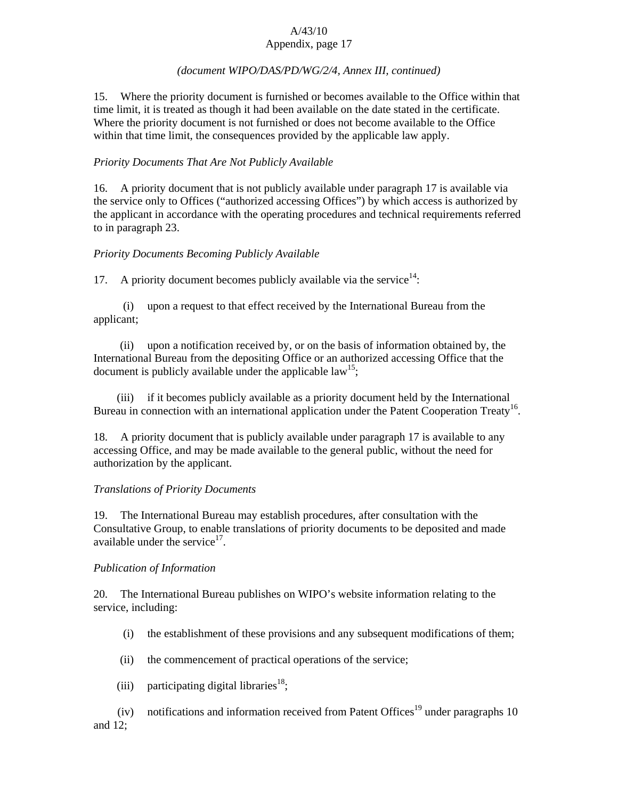# *(document WIPO/DAS/PD/WG/2/4, Annex III, continued)*

15. Where the priority document is furnished or becomes available to the Office within that time limit, it is treated as though it had been available on the date stated in the certificate. Where the priority document is not furnished or does not become available to the Office within that time limit, the consequences provided by the applicable law apply.

# *Priority Documents That Are Not Publicly Available*

16. A priority document that is not publicly available under paragraph 17 is available via the service only to Offices ("authorized accessing Offices") by which access is authorized by the applicant in accordance with the operating procedures and technical requirements referred to in paragraph 23.

# *Priority Documents Becoming Publicly Available*

17. A priority document becomes publicly available via the service $14$ :

 (i) upon a request to that effect received by the International Bureau from the applicant;

 (ii) upon a notification received by, or on the basis of information obtained by, the International Bureau from the depositing Office or an authorized accessing Office that the document is publicly available under the applicable law<sup>15</sup>;

 (iii) if it becomes publicly available as a priority document held by the International Bureau in connection with an international application under the Patent Cooperation Treaty<sup>16</sup>.

18. A priority document that is publicly available under paragraph 17 is available to any accessing Office, and may be made available to the general public, without the need for authorization by the applicant.

# *Translations of Priority Documents*

19. The International Bureau may establish procedures, after consultation with the Consultative Group, to enable translations of priority documents to be deposited and made available under the service $17$ .

# *Publication of Information*

20. The International Bureau publishes on WIPO's website information relating to the service, including:

- (i) the establishment of these provisions and any subsequent modifications of them;
- (ii) the commencement of practical operations of the service;
- (iii) participating digital libraries<sup>18</sup>;

(iv) notifications and information received from Patent Offices<sup>19</sup> under paragraphs 10 and 12;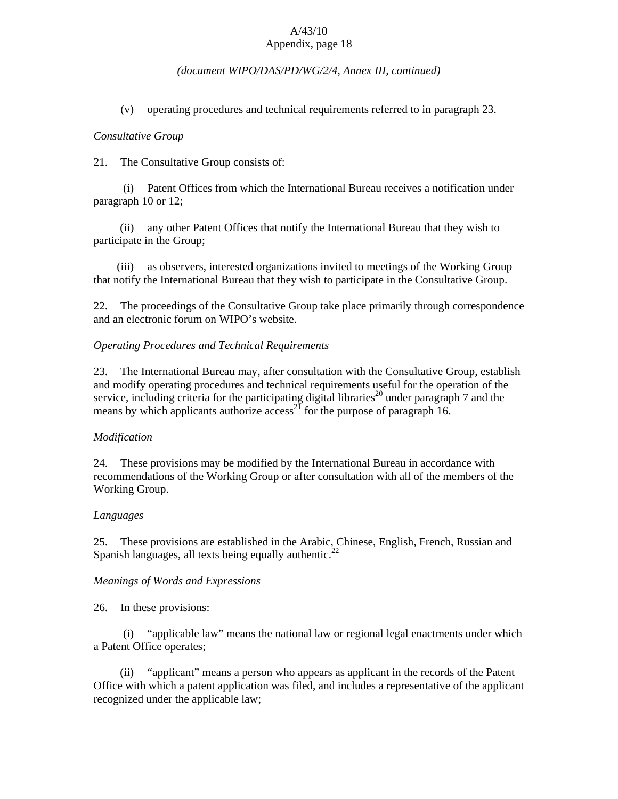### *(document WIPO/DAS/PD/WG/2/4, Annex III, continued)*

(v) operating procedures and technical requirements referred to in paragraph 23.

#### *Consultative Group*

21. The Consultative Group consists of:

 (i) Patent Offices from which the International Bureau receives a notification under paragraph 10 or 12;

 (ii) any other Patent Offices that notify the International Bureau that they wish to participate in the Group;

 (iii) as observers, interested organizations invited to meetings of the Working Group that notify the International Bureau that they wish to participate in the Consultative Group.

22. The proceedings of the Consultative Group take place primarily through correspondence and an electronic forum on WIPO's website.

#### *Operating Procedures and Technical Requirements*

23. The International Bureau may, after consultation with the Consultative Group, establish and modify operating procedures and technical requirements useful for the operation of the service, including criteria for the participating digital libraries<sup>20</sup> under paragraph 7 and the means by which applicants authorize  $\arccos^{21}$  for the purpose of paragraph 16.

#### *Modification*

24. These provisions may be modified by the International Bureau in accordance with recommendations of the Working Group or after consultation with all of the members of the Working Group.

#### *Languages*

25. These provisions are established in the Arabic, Chinese, English, French, Russian and Spanish languages, all texts being equally authentic.<sup>22</sup>

### *Meanings of Words and Expressions*

26. In these provisions:

 (i) "applicable law" means the national law or regional legal enactments under which a Patent Office operates;

 (ii) "applicant" means a person who appears as applicant in the records of the Patent Office with which a patent application was filed, and includes a representative of the applicant recognized under the applicable law;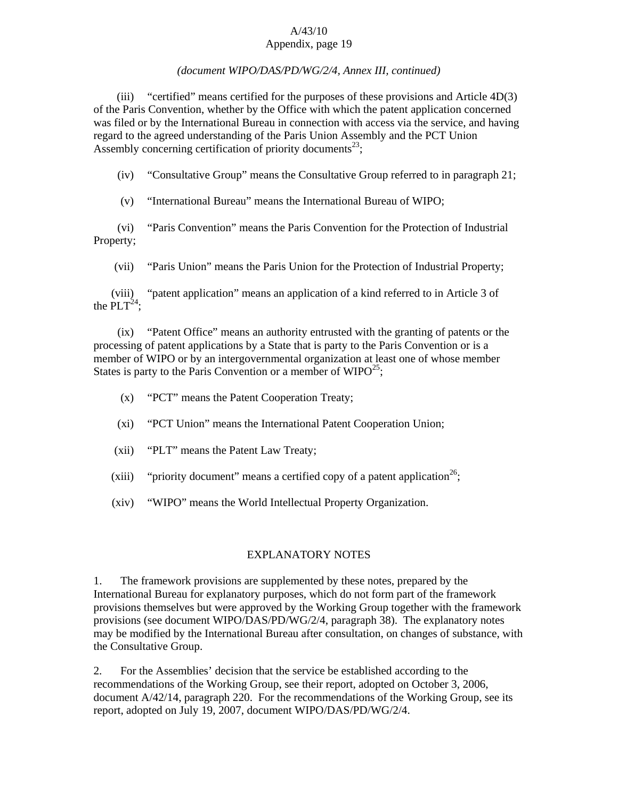# *(document WIPO/DAS/PD/WG/2/4, Annex III, continued)*

 (iii) "certified" means certified for the purposes of these provisions and Article 4D(3) of the Paris Convention, whether by the Office with which the patent application concerned was filed or by the International Bureau in connection with access via the service, and having regard to the agreed understanding of the Paris Union Assembly and the PCT Union Assembly concerning certification of priority documents<sup>23</sup>;

(iv) "Consultative Group" means the Consultative Group referred to in paragraph 21;

(v) "International Bureau" means the International Bureau of WIPO;

 (vi) "Paris Convention" means the Paris Convention for the Protection of Industrial Property;

(vii) "Paris Union" means the Paris Union for the Protection of Industrial Property;

 (viii) "patent application" means an application of a kind referred to in Article 3 of the  $PLT^{24}$ :

 (ix) "Patent Office" means an authority entrusted with the granting of patents or the processing of patent applications by a State that is party to the Paris Convention or is a member of WIPO or by an intergovernmental organization at least one of whose member States is party to the Paris Convention or a member of  $WIDO^{25}$ ;

- (x) "PCT" means the Patent Cooperation Treaty;
- (xi) "PCT Union" means the International Patent Cooperation Union;
- (xii) "PLT" means the Patent Law Treaty;
- (xiii) "priority document" means a certified copy of a patent application<sup>26</sup>;
- (xiv) "WIPO" means the World Intellectual Property Organization.

# EXPLANATORY NOTES

1. The framework provisions are supplemented by these notes, prepared by the International Bureau for explanatory purposes, which do not form part of the framework provisions themselves but were approved by the Working Group together with the framework provisions (see document WIPO/DAS/PD/WG/2/4, paragraph 38). The explanatory notes may be modified by the International Bureau after consultation, on changes of substance, with the Consultative Group.

2. For the Assemblies' decision that the service be established according to the recommendations of the Working Group, see their report, adopted on October 3, 2006, document A/42/14, paragraph 220. For the recommendations of the Working Group, see its report, adopted on July 19, 2007, document WIPO/DAS/PD/WG/2/4.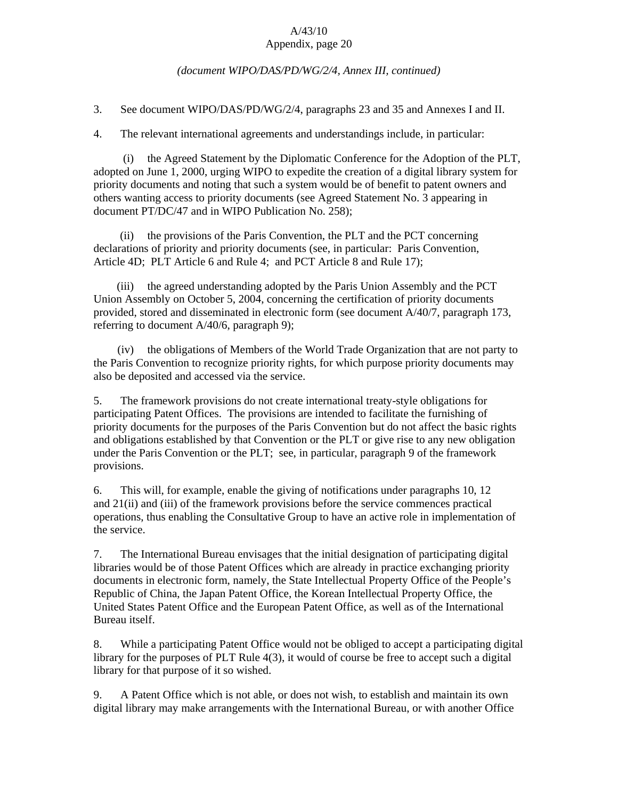### *(document WIPO/DAS/PD/WG/2/4, Annex III, continued)*

3. See document WIPO/DAS/PD/WG/2/4, paragraphs 23 and 35 and Annexes I and II.

4. The relevant international agreements and understandings include, in particular:

 (i) the Agreed Statement by the Diplomatic Conference for the Adoption of the PLT, adopted on June 1, 2000, urging WIPO to expedite the creation of a digital library system for priority documents and noting that such a system would be of benefit to patent owners and others wanting access to priority documents (see Agreed Statement No. 3 appearing in document PT/DC/47 and in WIPO Publication No. 258);

 (ii) the provisions of the Paris Convention, the PLT and the PCT concerning declarations of priority and priority documents (see, in particular: Paris Convention, Article 4D; PLT Article 6 and Rule 4; and PCT Article 8 and Rule 17);

 (iii) the agreed understanding adopted by the Paris Union Assembly and the PCT Union Assembly on October 5, 2004, concerning the certification of priority documents provided, stored and disseminated in electronic form (see document A/40/7, paragraph 173, referring to document A/40/6, paragraph 9);

 (iv) the obligations of Members of the World Trade Organization that are not party to the Paris Convention to recognize priority rights, for which purpose priority documents may also be deposited and accessed via the service.

5. The framework provisions do not create international treaty-style obligations for participating Patent Offices. The provisions are intended to facilitate the furnishing of priority documents for the purposes of the Paris Convention but do not affect the basic rights and obligations established by that Convention or the PLT or give rise to any new obligation under the Paris Convention or the PLT; see, in particular, paragraph 9 of the framework provisions.

6. This will, for example, enable the giving of notifications under paragraphs 10, 12 and 21(ii) and (iii) of the framework provisions before the service commences practical operations, thus enabling the Consultative Group to have an active role in implementation of the service.

7. The International Bureau envisages that the initial designation of participating digital libraries would be of those Patent Offices which are already in practice exchanging priority documents in electronic form, namely, the State Intellectual Property Office of the People's Republic of China, the Japan Patent Office, the Korean Intellectual Property Office, the United States Patent Office and the European Patent Office, as well as of the International Bureau itself.

8. While a participating Patent Office would not be obliged to accept a participating digital library for the purposes of PLT Rule 4(3), it would of course be free to accept such a digital library for that purpose of it so wished.

9. A Patent Office which is not able, or does not wish, to establish and maintain its own digital library may make arrangements with the International Bureau, or with another Office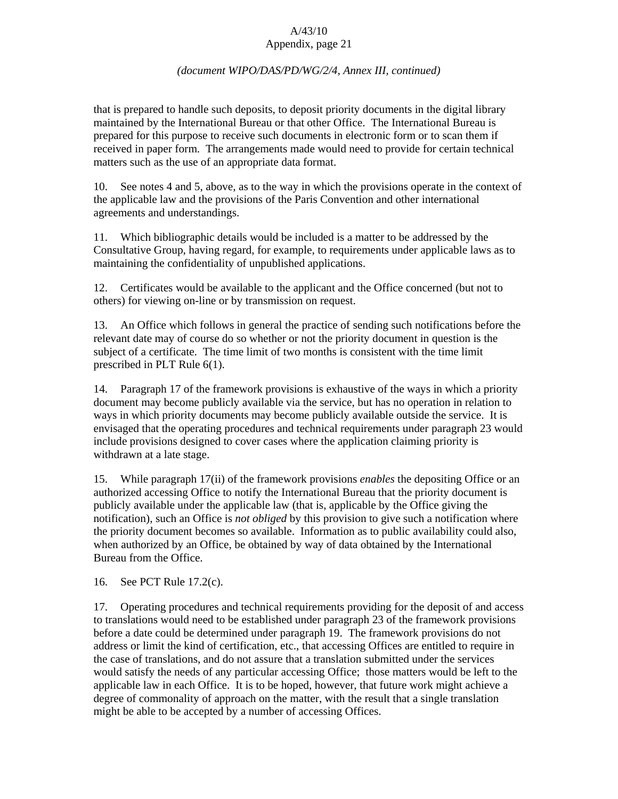## *(document WIPO/DAS/PD/WG/2/4, Annex III, continued)*

that is prepared to handle such deposits, to deposit priority documents in the digital library maintained by the International Bureau or that other Office. The International Bureau is prepared for this purpose to receive such documents in electronic form or to scan them if received in paper form. The arrangements made would need to provide for certain technical matters such as the use of an appropriate data format.

10. See notes 4 and 5, above, as to the way in which the provisions operate in the context of the applicable law and the provisions of the Paris Convention and other international agreements and understandings.

11. Which bibliographic details would be included is a matter to be addressed by the Consultative Group, having regard, for example, to requirements under applicable laws as to maintaining the confidentiality of unpublished applications.

12. Certificates would be available to the applicant and the Office concerned (but not to others) for viewing on-line or by transmission on request.

13. An Office which follows in general the practice of sending such notifications before the relevant date may of course do so whether or not the priority document in question is the subject of a certificate. The time limit of two months is consistent with the time limit prescribed in PLT Rule 6(1).

14. Paragraph 17 of the framework provisions is exhaustive of the ways in which a priority document may become publicly available via the service, but has no operation in relation to ways in which priority documents may become publicly available outside the service. It is envisaged that the operating procedures and technical requirements under paragraph 23 would include provisions designed to cover cases where the application claiming priority is withdrawn at a late stage.

15. While paragraph 17(ii) of the framework provisions *enables* the depositing Office or an authorized accessing Office to notify the International Bureau that the priority document is publicly available under the applicable law (that is, applicable by the Office giving the notification), such an Office is *not obliged* by this provision to give such a notification where the priority document becomes so available. Information as to public availability could also, when authorized by an Office, be obtained by way of data obtained by the International Bureau from the Office.

16. See PCT Rule 17.2(c).

17. Operating procedures and technical requirements providing for the deposit of and access to translations would need to be established under paragraph 23 of the framework provisions before a date could be determined under paragraph 19. The framework provisions do not address or limit the kind of certification, etc., that accessing Offices are entitled to require in the case of translations, and do not assure that a translation submitted under the services would satisfy the needs of any particular accessing Office; those matters would be left to the applicable law in each Office. It is to be hoped, however, that future work might achieve a degree of commonality of approach on the matter, with the result that a single translation might be able to be accepted by a number of accessing Offices.